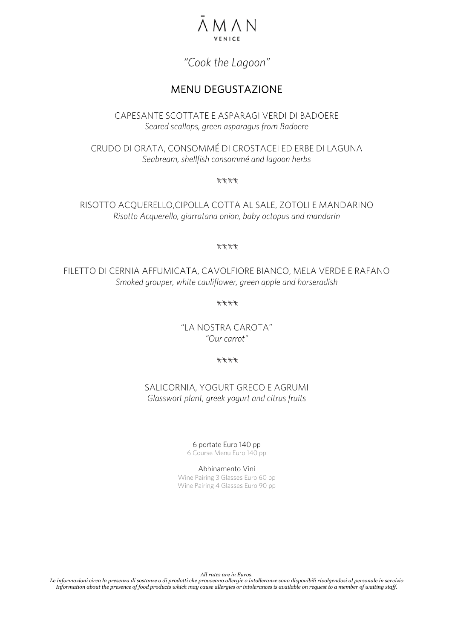

# *"Cook the Lagoon"*

## MENU DEGUSTAZIONE

CAPESANTE SCOTTATE E ASPARAGI VERDI DI BADOERE *Seared scallops, green asparagus from Badoere*

CRUDO DI ORATA, CONSOMMÉ DI CROSTACEI ED ERBE DI LAGUNA *Seabream, shellfish consommé and lagoon herbs*

\*\*\*\*

RISOTTO ACQUERELLO,CIPOLLA COTTA AL SALE, ZOTOLI E MANDARINO *Risotto Acquerello, giarratana onion, baby octopus and mandarin*

#### \*\*\*\*

FILETTO DI CERNIA AFFUMICATA, CAVOLFIORE BIANCO, MELA VERDE E RAFANO *Smoked grouper, white cauliflower, green apple and horseradish*

\*\*\*\*

"LA NOSTRA CAROTA" *"Our carrot"*

\*\*\*\*

SALICORNIA, YOGURT GRECO E AGRUMI *Glasswort plant, greek yogurt and citrus fruits*

> 6 portate Euro 140 pp 6 Course Menu Euro 140 pp

Abbinamento Vini Wine Pairing 3 Glasses Euro 60 pp Wine Pairing 4 Glasses Euro 90 pp

*All rates are in Euros.*

*Le informazioni circa la presenza di sostanze o di prodotti che provocano allergie o intolleranze sono disponibili rivolgendosi al personale in servizio* Information about the presence of food products which may cause allergies or intolerances is available on request to a member of waiting staff.